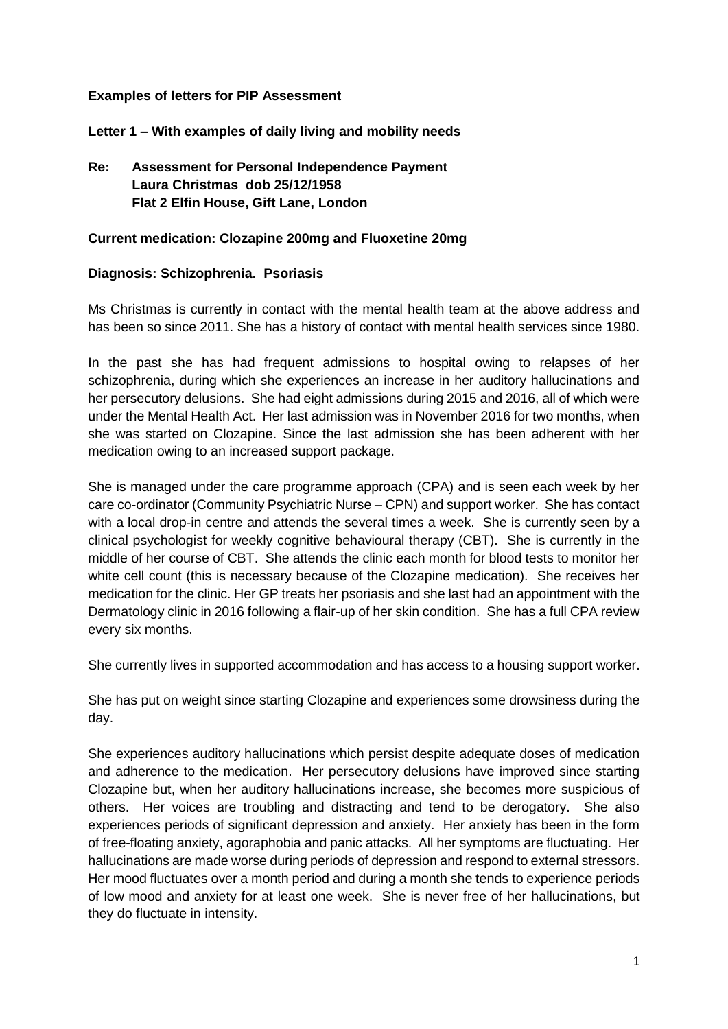#### **Examples of letters for PIP Assessment**

**Letter 1 – With examples of daily living and mobility needs**

# **Re: Assessment for Personal Independence Payment Laura Christmas dob 25/12/1958 Flat 2 Elfin House, Gift Lane, London**

## **Current medication: Clozapine 200mg and Fluoxetine 20mg**

## **Diagnosis: Schizophrenia. Psoriasis**

Ms Christmas is currently in contact with the mental health team at the above address and has been so since 2011. She has a history of contact with mental health services since 1980.

In the past she has had frequent admissions to hospital owing to relapses of her schizophrenia, during which she experiences an increase in her auditory hallucinations and her persecutory delusions. She had eight admissions during 2015 and 2016, all of which were under the Mental Health Act. Her last admission was in November 2016 for two months, when she was started on Clozapine. Since the last admission she has been adherent with her medication owing to an increased support package.

She is managed under the care programme approach (CPA) and is seen each week by her care co-ordinator (Community Psychiatric Nurse – CPN) and support worker. She has contact with a local drop-in centre and attends the several times a week. She is currently seen by a clinical psychologist for weekly cognitive behavioural therapy (CBT). She is currently in the middle of her course of CBT. She attends the clinic each month for blood tests to monitor her white cell count (this is necessary because of the Clozapine medication). She receives her medication for the clinic. Her GP treats her psoriasis and she last had an appointment with the Dermatology clinic in 2016 following a flair-up of her skin condition. She has a full CPA review every six months.

She currently lives in supported accommodation and has access to a housing support worker.

She has put on weight since starting Clozapine and experiences some drowsiness during the day.

She experiences auditory hallucinations which persist despite adequate doses of medication and adherence to the medication. Her persecutory delusions have improved since starting Clozapine but, when her auditory hallucinations increase, she becomes more suspicious of others. Her voices are troubling and distracting and tend to be derogatory. She also experiences periods of significant depression and anxiety. Her anxiety has been in the form of free-floating anxiety, agoraphobia and panic attacks. All her symptoms are fluctuating. Her hallucinations are made worse during periods of depression and respond to external stressors. Her mood fluctuates over a month period and during a month she tends to experience periods of low mood and anxiety for at least one week. She is never free of her hallucinations, but they do fluctuate in intensity.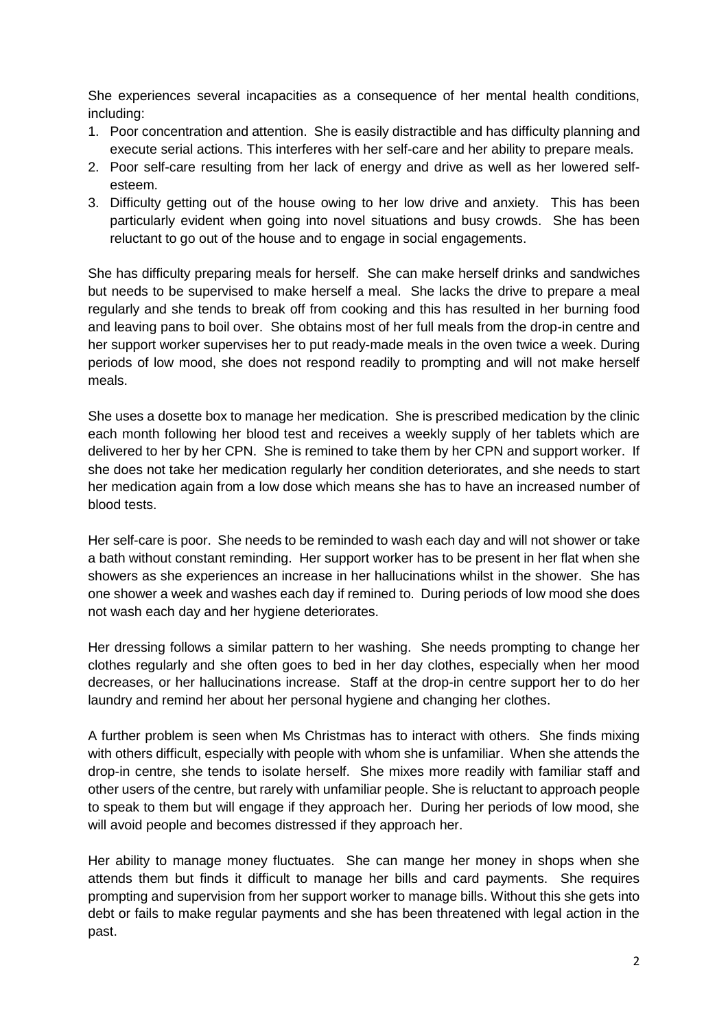She experiences several incapacities as a consequence of her mental health conditions, including:

- 1. Poor concentration and attention. She is easily distractible and has difficulty planning and execute serial actions. This interferes with her self-care and her ability to prepare meals.
- 2. Poor self-care resulting from her lack of energy and drive as well as her lowered selfesteem.
- 3. Difficulty getting out of the house owing to her low drive and anxiety. This has been particularly evident when going into novel situations and busy crowds. She has been reluctant to go out of the house and to engage in social engagements.

She has difficulty preparing meals for herself. She can make herself drinks and sandwiches but needs to be supervised to make herself a meal. She lacks the drive to prepare a meal regularly and she tends to break off from cooking and this has resulted in her burning food and leaving pans to boil over. She obtains most of her full meals from the drop-in centre and her support worker supervises her to put ready-made meals in the oven twice a week. During periods of low mood, she does not respond readily to prompting and will not make herself meals.

She uses a dosette box to manage her medication. She is prescribed medication by the clinic each month following her blood test and receives a weekly supply of her tablets which are delivered to her by her CPN. She is remined to take them by her CPN and support worker. If she does not take her medication regularly her condition deteriorates, and she needs to start her medication again from a low dose which means she has to have an increased number of blood tests.

Her self-care is poor. She needs to be reminded to wash each day and will not shower or take a bath without constant reminding. Her support worker has to be present in her flat when she showers as she experiences an increase in her hallucinations whilst in the shower. She has one shower a week and washes each day if remined to. During periods of low mood she does not wash each day and her hygiene deteriorates.

Her dressing follows a similar pattern to her washing. She needs prompting to change her clothes regularly and she often goes to bed in her day clothes, especially when her mood decreases, or her hallucinations increase. Staff at the drop-in centre support her to do her laundry and remind her about her personal hygiene and changing her clothes.

A further problem is seen when Ms Christmas has to interact with others. She finds mixing with others difficult, especially with people with whom she is unfamiliar. When she attends the drop-in centre, she tends to isolate herself. She mixes more readily with familiar staff and other users of the centre, but rarely with unfamiliar people. She is reluctant to approach people to speak to them but will engage if they approach her. During her periods of low mood, she will avoid people and becomes distressed if they approach her.

Her ability to manage money fluctuates. She can mange her money in shops when she attends them but finds it difficult to manage her bills and card payments. She requires prompting and supervision from her support worker to manage bills. Without this she gets into debt or fails to make regular payments and she has been threatened with legal action in the past.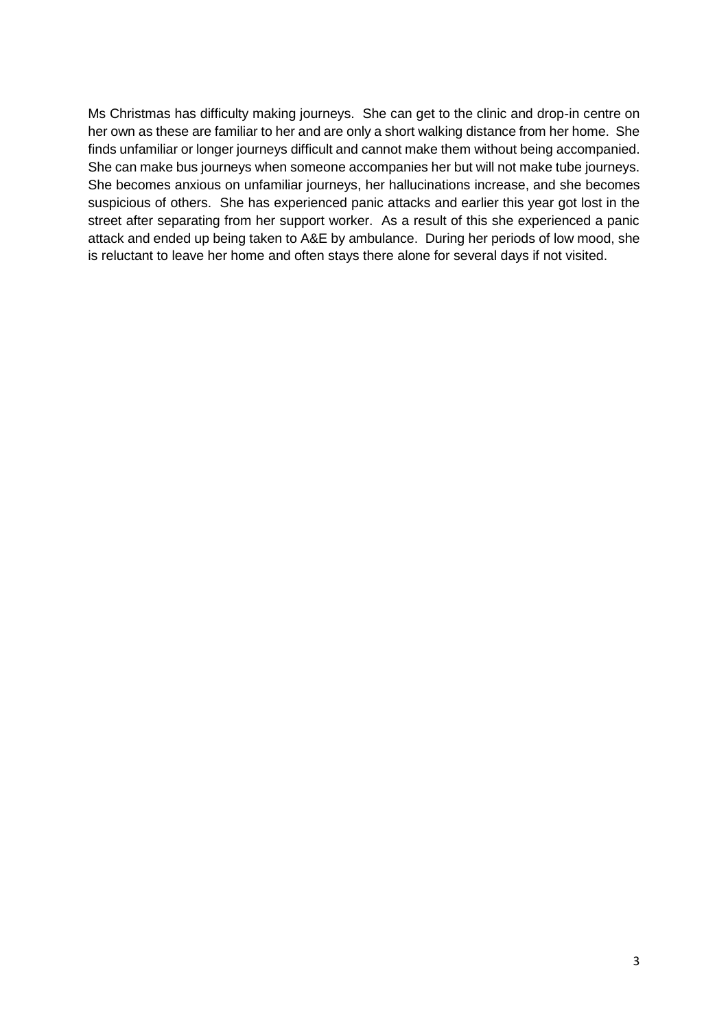Ms Christmas has difficulty making journeys. She can get to the clinic and drop-in centre on her own as these are familiar to her and are only a short walking distance from her home. She finds unfamiliar or longer journeys difficult and cannot make them without being accompanied. She can make bus journeys when someone accompanies her but will not make tube journeys. She becomes anxious on unfamiliar journeys, her hallucinations increase, and she becomes suspicious of others. She has experienced panic attacks and earlier this year got lost in the street after separating from her support worker. As a result of this she experienced a panic attack and ended up being taken to A&E by ambulance. During her periods of low mood, she is reluctant to leave her home and often stays there alone for several days if not visited.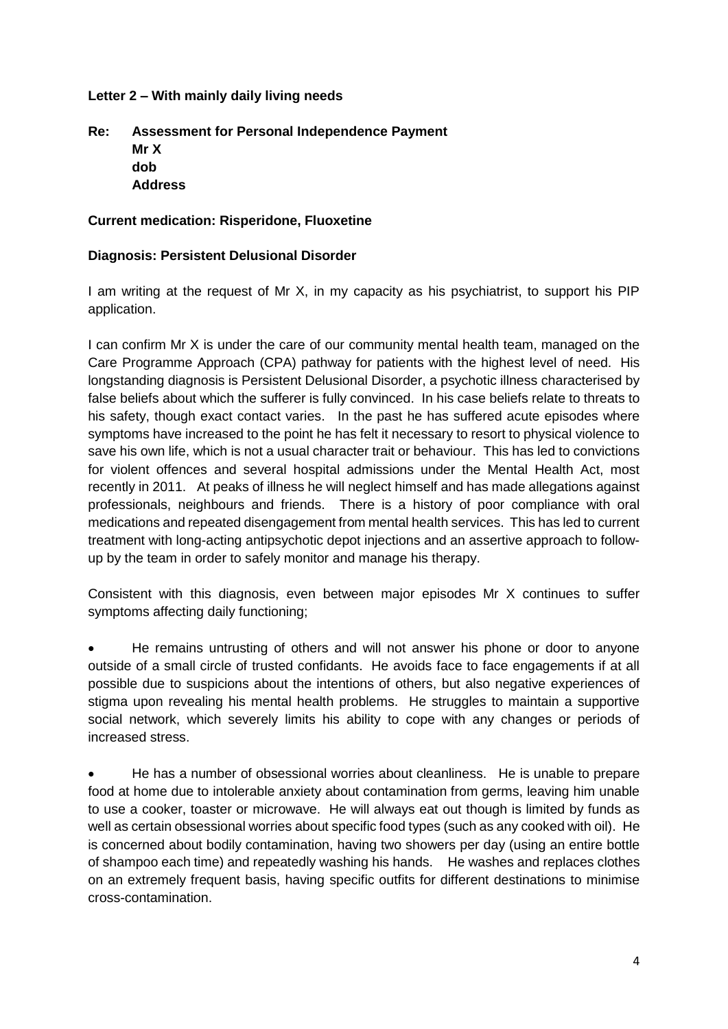### **Letter 2 – With mainly daily living needs**

# **Re: Assessment for Personal Independence Payment Mr X dob Address**

## **Current medication: Risperidone, Fluoxetine**

## **Diagnosis: Persistent Delusional Disorder**

I am writing at the request of Mr X, in my capacity as his psychiatrist, to support his PIP application.

I can confirm Mr X is under the care of our community mental health team, managed on the Care Programme Approach (CPA) pathway for patients with the highest level of need. His longstanding diagnosis is Persistent Delusional Disorder, a psychotic illness characterised by false beliefs about which the sufferer is fully convinced. In his case beliefs relate to threats to his safety, though exact contact varies. In the past he has suffered acute episodes where symptoms have increased to the point he has felt it necessary to resort to physical violence to save his own life, which is not a usual character trait or behaviour. This has led to convictions for violent offences and several hospital admissions under the Mental Health Act, most recently in 2011. At peaks of illness he will neglect himself and has made allegations against professionals, neighbours and friends. There is a history of poor compliance with oral medications and repeated disengagement from mental health services. This has led to current treatment with long-acting antipsychotic depot injections and an assertive approach to followup by the team in order to safely monitor and manage his therapy.

Consistent with this diagnosis, even between major episodes Mr X continues to suffer symptoms affecting daily functioning;

• He remains untrusting of others and will not answer his phone or door to anyone outside of a small circle of trusted confidants. He avoids face to face engagements if at all possible due to suspicions about the intentions of others, but also negative experiences of stigma upon revealing his mental health problems. He struggles to maintain a supportive social network, which severely limits his ability to cope with any changes or periods of increased stress.

• He has a number of obsessional worries about cleanliness. He is unable to prepare food at home due to intolerable anxiety about contamination from germs, leaving him unable to use a cooker, toaster or microwave. He will always eat out though is limited by funds as well as certain obsessional worries about specific food types (such as any cooked with oil). He is concerned about bodily contamination, having two showers per day (using an entire bottle of shampoo each time) and repeatedly washing his hands. He washes and replaces clothes on an extremely frequent basis, having specific outfits for different destinations to minimise cross-contamination.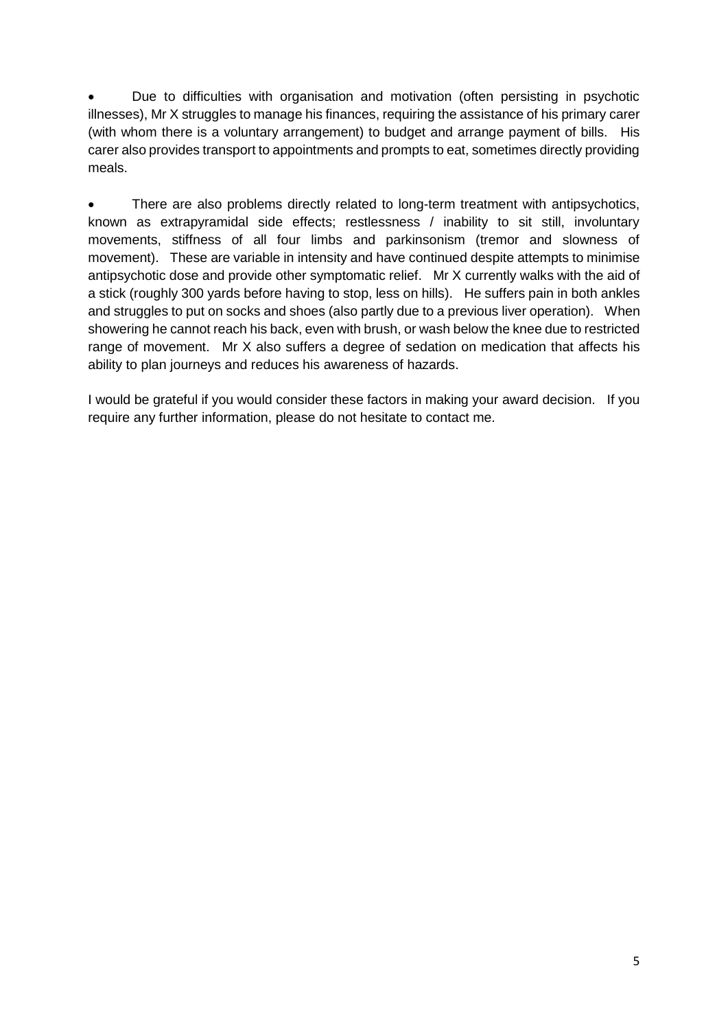Due to difficulties with organisation and motivation (often persisting in psychotic illnesses), Mr X struggles to manage his finances, requiring the assistance of his primary carer (with whom there is a voluntary arrangement) to budget and arrange payment of bills. His carer also provides transport to appointments and prompts to eat, sometimes directly providing meals.

• There are also problems directly related to long-term treatment with antipsychotics, known as extrapyramidal side effects; restlessness / inability to sit still, involuntary movements, stiffness of all four limbs and parkinsonism (tremor and slowness of movement). These are variable in intensity and have continued despite attempts to minimise antipsychotic dose and provide other symptomatic relief. Mr X currently walks with the aid of a stick (roughly 300 yards before having to stop, less on hills). He suffers pain in both ankles and struggles to put on socks and shoes (also partly due to a previous liver operation). When showering he cannot reach his back, even with brush, or wash below the knee due to restricted range of movement. Mr X also suffers a degree of sedation on medication that affects his ability to plan journeys and reduces his awareness of hazards.

I would be grateful if you would consider these factors in making your award decision. If you require any further information, please do not hesitate to contact me.